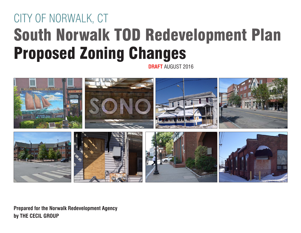# CITY OF NORWALK, CT South Norwalk TOD Redevelopment Plan Proposed Zoning Changes

**DRAFT** AUGUST 2016



**Prepared for the Norwalk Redevelopment Agency by THE CECIL GROUP**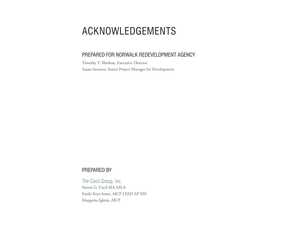## ACKNOWLEDGEMENTS

#### PREPARED FOR NORWALK REDEVELOPMENT AGENCY

Timothy T. Sheehan, Executive Director Susan Sweitzer, Senior Project Manager for Development

#### PREPARED BY

The Cecil Group, Inc. Steven G. Cecil AIA ASLA Emily Keys Innes, AICP LEED AP ND Margarita Iglesia, AICP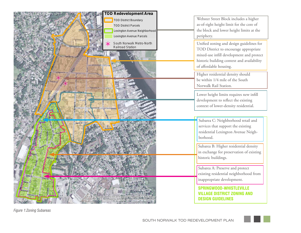

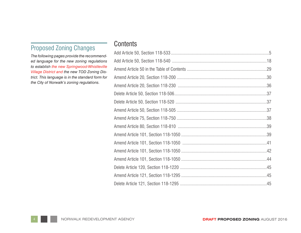## Proposed Zoning Changes

*The following pages provide the recommended language for the new zoning regulations to establish the new Springwood-Whistleville Village District and the new TOD Zoning District. This language is in the standard form for the City of Norwalk's zoning regulations.*

#### **Contents**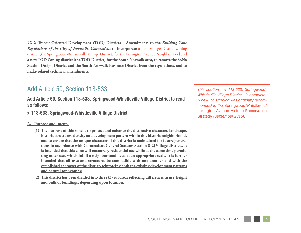**#X-X Transit Oriented Development (TOD) Districts – Amendments to the** *Building Zone Regulations of the City of Norwalk, Connecticut* **to incorporate** a new Village District zoning district (the Springwood-Whistleville Village District) for the Lexington Avenue Neighborhood and **a new TOD Zoning district (the TOD District) for the South Norwalk area, to remove the SoNo Station Design District and the South Norwalk Business District from the regulations, and to make related technical amendments.**

#### Add Article 50, Section 118-533

**Add Article 50, Section 118-533, Springwood-Whistleville Village District to read as follows:**

- **§ 118-533. Springwood-Whistleville Village District.**
- **A. Purpose and intent.** 
	- **(1) The purpose of this zone is to protect and enhance the distinctive character, landscape, historic structures, density and development pattern within this historic neighborhood, and to ensure that the unique character of this district is maintained for future generations in accordance with Connecticut General Statutes Section 8-2j Village districts. It is intended that this zone will encourage residential use while at the same time permitting other uses which fulfill a neighborhood need at an appropriate scale. It is further intended that all uses and structures be compatible with one another and with the established character of the district, reinforcing both the existing development patterns and natural topography.**
	- **(2) This district has been divided into three (3) subareas reflecting differences in use, height and bulk of buildings, depending upon location.**

*This section – § 118-533. Springwood-Whistleville Village District – is completely new. This zoning was originally recommended in the* Springwood-Whistleville/ Lexington Avenue Historic Preservation Strategy *(September 2015).*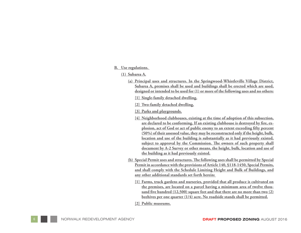#### **B. Use regulations.**

**(1) Subarea A.**

- **(a) Principal uses and structures. In the Springwood-Whistleville Village District, Subarea A, premises shall be used and buildings shall be erected which are used, designed or intended to be used for (1) or more of the following uses and no others:**
	- **[1] Single-family detached dwelling.**
	- **[2] Two-family detached dwelling.**
	- **[3] Parks and playgrounds.**
	- **[4] Neighborhood clubhouses, existing at the time of adoption of this subsection, are declared to be conforming. If an existing clubhouse is destroyed by fire, ex plosion, act of God or act of public enemy to an extent exceeding fifty percent (50%) of their assessed value, they may be reconstructed only if the height, bulk, location and use of the building is substantially as it had previously existed, subject to approval by the Commission. The owners of such property shall document by A-2 Survey or other means, the height, bulk, location and use of the building as it had previously existed.**
- **(b) Special Permit uses and structures. The following uses shall be permitted by Special Permit in accordance with the provisions of Article 140, §118-1450, Special Permits, and shall comply with the Schedule Limiting Height and Bulk of Buildings, and any other additional standards set forth herein:** 
	- **[1] Farms, truck gardens and nurseries, provided that all produce is cultivated on the premises, are located on a parcel having a minimum area of twelve thou sand five hundred (12,500) square feet and that there are no more than two (2) beehives per one quarter (1/4) acre. No roadside stands shall be permitted.**
	- **[2] Public museums.**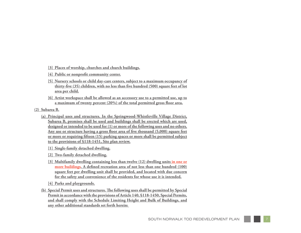- **[3] Places of worship, churches and church buildings.**
- **[4] Public or nonprofit community center.**
- **[5] Nursery schools or child day-care centers, subject to a maximum occupancy of thirty-five (35) children, with no less than five hundred (500) square feet of lot area per child.**
- **[6] Artist workspace shall be allowed as an accessory use to a permitted use, up to a maximum of twenty percent (20%) of the total permitted gross floor area.**
- **(2) Subarea B.**
	- **(a) Principal uses and structures. In the Springwood-Whistleville Village District, Subarea B, premises shall be used and buildings shall be erected which are used, designed or intended to be used for (1) or more of the following uses and no others. Any use or structure having a gross floor area of five thousand (5,000) square feet or more or requiring fifteen (15) parking spaces or more shall be permitted subject to the provisions of §118-1451, Site plan review.**
		- **[1] Single-family detached dwelling.**
		- **[2] Two-family detached dwelling.**
		- **[3] Multifamily dwelling containing less than twelve (12) dwelling units in one or more buildings. A defined recreation area of not less than one hundred (100) square feet per dwelling unit shall be provided, and located with due concern for the safety and convenience of the residents for whose use it is intended.**
		- **[4] Parks and playgrounds.**
	- **(b) Special Permit uses and structures. The following uses shall be permitted by Special Permit in accordance with the provisions of Article 140, §118-1450, Special Permits, and shall comply with the Schedule Limiting Height and Bulk of Buildings, and any other additional standards set forth herein:**

7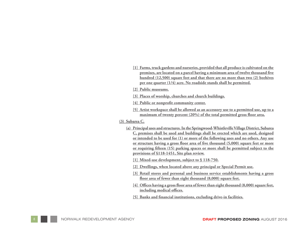- **[1] Farms, truck gardens and nurseries, provided that all produce is cultivated on the premises, are located on a parcel having a minimum area of twelve thousand five hundred (12,500) square feet and that there are no more than two (2) beehives per one quarter (1/4) acre. No roadside stands shall be permitted.**
- **[2] Public museums.**
- **[3] Places of worship, churches and church buildings.**
- **[4] Public or nonprofit community center.**
- **[5] Artist workspace shall be allowed as an accessory use to a permitted use, up to a maximum of twenty percent (20%) of the total permitted gross floor area.**
- **(3) Subarea C.**
	- **(a) Principal uses and structures. In the Springwood-Whistleville Village District, Subarea C, premises shall be used and buildings shall be erected which are used, designed or intended to be used for (1) or more of the following uses and no others. Any use or structure having a gross floor area of five thousand (5,000) square feet or more or requiring fifteen (15) parking spaces or more shall be permitted subject to the provisions of §118-1451, Site plan review.**
		- **[1] Mixed-use development, subject to § 118-750.**
		- **[2] Dwellings, when located above any principal or Special Permit use.**
		- **[3] Retail stores and personal and business service establishments having a gross floor area of fewer than eight thousand (8,000) square feet.**
		- **[4] Offices having a gross floor area of fewer than eight thousand (8,000) square feet, including medical offices.**
		- **[5] Banks and financial institutions, excluding drive-in facilities.**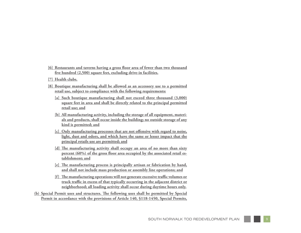- **[6] Restaurants and taverns having a gross floor area of fewer than two thousand five hundred (2,500) square feet, excluding drive-in facilities.**
- **[7] Health clubs.**
- **[8] Boutique manufacturing shall be allowed as an accessory use to a permitted retail use, subject to compliance with the following requirements:**
	- **[a] Such boutique manufacturing shall not exceed three thousand (3,000) square feet in area and shall be directly related to the principal permitted retail use; and**
	- **[b] All manufacturing activity, including the storage of all equipment, materials and products, shall occur inside the building; no outside storage of any kind is permitted; and**
	- **[c] Only manufacturing processes that are not offensive with regard to noise, light, dust and odors, and which have the same or lesser impact that the principal retails use are permitted; and**
	- **[d] The manufacturing activity shall occupy an area of no more than sixty percent (60%) of the gross floor area occupied by the associated retail establishment; and**
	- **[e] The manufacturing process is principally artisan or fabrication by hand, and shall not include mass production or assembly line operations; and**
	- **[f] The manufacturing operations will not generate excessive traffic volumes or truck traffic in excess of that typically occurring in the adjacent district or neighborhood; all loading activity shall occur during daytime hours only.**
- **(b) Special Permit uses and structures. The following uses shall be permitted by Special**  Permit in accordance with the provisions of Article 140, §118-1450, Special Permits,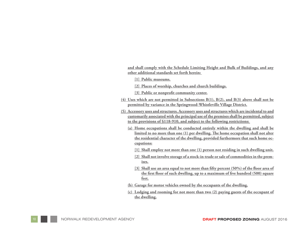**and shall comply with the Schedule Limiting Height and Bulk of Buildings, and any other additional standards set forth herein:** 

**[1] Public museums.**

**[2] Places of worship, churches and church buildings.**

**[3] Public or nonprofit community center.**

- **(4) Uses which are not permitted in Subsections B(1), B(2), and B(3) above shall not be permitted by variance in the Springwood-Whistleville Village District.**
- **(5) Accessory uses and structures. Accessory uses and structures which are incidental to and customarily associated with the principal use of the premises shall be permitted, subject to the provisions of §118-910, and subject to the following restrictions:** 
	- **(a) Home occupations shall be conducted entirely within the dwelling and shall be limited to no more than one (1) per dwelling. The home occupation shall not alter the residential character of the dwelling, provided furthermore that such home occupations:**
		- **[1] Shall employ not more than one (1) person not residing in such dwelling unit.**
		- **[2] Shall not involve storage of a stock-in-trade or sale of commodities in the premises.**
		- **[3] Shall use an area equal to not more than fifty percent (50%) of the floor area of the first floor of such dwelling, up to a maximum of five hundred (500) square feet.**
	- **(b) Garage for motor vehicles owned by the occupants of the dwelling.**
	- **(c) Lodging and rooming for not more than two (2) paying guests of the occupant of the dwelling.**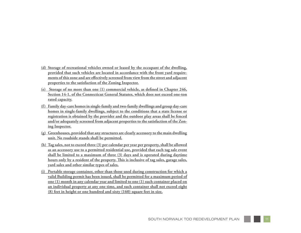- **(d) Storage of recreational vehicles owned or leased by the occupant of the dwelling, provided that such vehicles are located in accordance with the front yard require ments of this zone and are effectively screened from view from the street and adjacent properties to the satisfaction of the Zoning Inspector.**
- **(e) Storage of no more than one (1) commercial vehicle, as defined in Chapter 246, Section 14-1, of the Connecticut General Statutes, which does not exceed one-ton rated capacity.**
- **(f) Family day-care homes in single-family and two-family dwellings and group day-care homes in single-family dwellings, subject to the conditions that a state license or registration is obtained by the provider and the outdoor play areas shall be fenced and/or adequately screened from adjacent properties to the satisfaction of the Zon ing Inspector.**
- **(g) Greenhouses, provided that any structures are clearly accessory to the main dwelling unit. No roadside stands shall be permitted.**
- **(h) Tag sales, not to exceed three (3) per calendar per year per property, shall be allowed as an accessory use to a permitted residential use, provided that each tag sale event shall be limited to a maximum of three (3) days and is operated during daytime hours only by a resident of the property. This is inclusive of tag sales, garage sales, yard sales and other similar types of sales.**
- **(i) Portable storage container, other than those used during construction for which a valid Building permit has been issued, shall be permitted for a maximum period of one (1) month in any calendar year and limited to one (1) such container placed on an individual property at any one time, and such container shall not exceed eight (8) feet in height or one hundred and sixty (160) square feet in size.**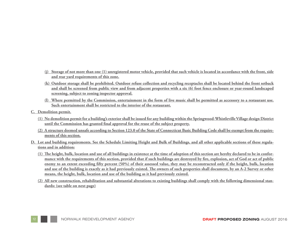- **(j) Storage of not more than one (1) unregistered motor vehicle, provided that such vehicle is located in accordance with the front, side and rear yard requirements of this zone.**
- **(k) Outdoor storage shall be prohibited. Outdoor refuse collection and recycling receptacles shall be located behind the front setback and shall be screened from public view and from adjacent properties with a six (6) foot fence enclosure or year-round landscaped screening, subject to zoning inspector approval.**
- **(l) Where permitted by the Commission, entertainment in the form of live music shall be permitted as accessory to a restaurant use. Such entertainment shall be restricted to the interior of the restaurant.**
- **C. Demolition permit.**
	- **(1) No demolition permit for a building's exterior shall be issued for any building within the Springwood-Whistleville Village design District until the Commission has granted final approval for the reuse of the subject property.**
	- **(2) A structure deemed unsafe according to Section 123.0 of the State of Connecticut Basic Building Code shall be exempt from the requirements of this section.**
- **D. Lot and building requirements. See the Schedule Limiting Height and Bulk of Buildings, and all other applicable sections of these regulations and in addition:**
	- **(1) The height, bulk, location and use of all buildings in existence at the time of adoption of this section are hereby declared to be in conformance with the requirements of this section, provided that if such buildings are destroyed by fire, explosion, act of God or act of public enemy to an extent exceeding fifty percent (50%) of their assessed value, they may be reconstructed only if the height, bulk, location and use of the building is exactly as it had previously existed. The owners of such properties shall document, by an A-2 Survey or other means, the height, bulk, location and use of the building as it had previously existed.**
	- **(2) All new construction, rehabilitation and substantial alterations to existing buildings shall comply with the following dimensional standards: (see table on next page)**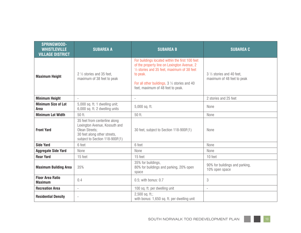| <b>SPRINGWOOD-</b><br><b>WHISTLEVILLE</b><br><b>VILLAGE DISTRICT</b> | <b>SUBAREA A</b>                                                                                                                                   | <b>SUBAREA B</b>                                                                                                                                                                                                                                         | <b>SUBAREA C</b>                                         |
|----------------------------------------------------------------------|----------------------------------------------------------------------------------------------------------------------------------------------------|----------------------------------------------------------------------------------------------------------------------------------------------------------------------------------------------------------------------------------------------------------|----------------------------------------------------------|
| <b>Maximum Height</b>                                                | 2 1/2 stories and 35 feet,<br>maximum of 38 feet to peak                                                                                           | For buildings located within the first 100 feet<br>of the property line on Lexington Avenue, 2<br>1/2 stories and 35 feet, maximum of 38 feet<br>to peak.<br>For all other buildings, $3\frac{1}{2}$ stories and 40<br>feet, maximum of 48 feet to peak. | 3 1/2 stories and 40 feet,<br>maximum of 48 feet to peak |
| <b>Minimum Height</b>                                                |                                                                                                                                                    | $\sim$                                                                                                                                                                                                                                                   | 2 stories and 25 feet                                    |
| <b>Minimum Size of Lot</b><br>Area                                   | 5,000 sq. ft. 1 dwelling unit;<br>6,000 sq. ft. 2 dwelling units                                                                                   | 5,000 sq. ft.                                                                                                                                                                                                                                            | None                                                     |
| <b>Minimum Lot Width</b>                                             | 50 ft.                                                                                                                                             | 50 ft.                                                                                                                                                                                                                                                   | None                                                     |
| <b>Front Yard</b>                                                    | 35 feet from centerline along<br>Lexington Avenue, Kossuth and<br>Olean Streets;<br>30 feet along other streets,<br>subject to Section 118-900F(1) | 30 feet, subject to Section 118-900F(1)                                                                                                                                                                                                                  | None                                                     |
| <b>Side Yard</b>                                                     | 6 feet                                                                                                                                             | 6 feet                                                                                                                                                                                                                                                   | None                                                     |
| <b>Aggregate Side Yard</b>                                           | None                                                                                                                                               | None                                                                                                                                                                                                                                                     | None                                                     |
| <b>Rear Yard</b>                                                     | 15 feet                                                                                                                                            | 15 feet                                                                                                                                                                                                                                                  | 10 feet                                                  |
| <b>Maximum Building Area</b>                                         | 35%                                                                                                                                                | 35% for buildings,<br>80% for buildings and parking, 20% open<br>space                                                                                                                                                                                   | 90% for buildings and parking,<br>10% open space         |
| <b>Floor Area Ratio</b><br><b>Maximum</b>                            | 0.4                                                                                                                                                | 0.5; with bonus: 0.7                                                                                                                                                                                                                                     | 3                                                        |
| <b>Recreation Area</b>                                               | à.                                                                                                                                                 | 100 sq. ft. per dwelling unit                                                                                                                                                                                                                            | $\sim$                                                   |
| <b>Residential Density</b>                                           | $\overline{\phantom{a}}$                                                                                                                           | 2,500 sq. ft.;<br>with bonus: 1,650 sq. ft. per dwelling unit                                                                                                                                                                                            |                                                          |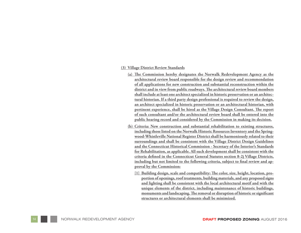#### **(3) Village District Review Standards**

- **(a) The Commission hereby designates the Norwalk Redevelopment Agency as the architectural review board responsible for the design review and recommendation of all applications for new construction and substantial reconstruction within the district and in view from public roadways. The architectural review board members shall include at least one architect specialized in historic preservation or an architec tural historian. If a third party design professional is required to review the design, an architect specialized in historic preservation or an architectural historian, with pertinent experience, shall be hired as the Village Design Consultant. The report of such consultant and/or the architectural review board shall be entered into the public hearing record and considered by the Commission in making its decision.**
- **(b) Criteria: New construction and substantial rehabilitation to existing structures, including those listed on the Norwalk Historic Resources Inventory and the Spring wood-Whistleville National Register District shall be harmoniously related to their surroundings and shall be consistent with the Village District Design Guidelines and the Connecticut Historical Commission - Secretary of the Interior's Standards for Rehabilitation, as applicable. All such development shall be consistent with the criteria defined in the Connecticut General Statutes section 8-2j Village Districts, including but not limited to the following criteria, subject to final review and ap proval by the Commission:**
	- **[1] Building design, scale and compatibility: The color, size, height, location, pro portion of openings, roof treatments, building materials, and any proposed signs and lighting shall be consistent with the local architectural motif and with the unique elements of the district, including maintenance of historic buildings, monuments and landscaping. The removal or disruption of historic or significant structures or architectural elements shall be minimized.**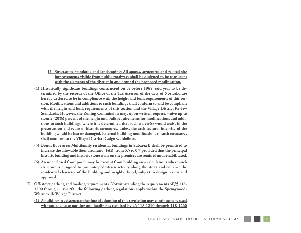- **[2] Streetscape standards and landscaping: All spaces, structures and related site improvements visible from public roadways shall be designed to be consistent with the elements of the district in and around the proposed modification.**
- **(4) Historically significant buildings constructed on or before 1965, said year to be de termined by the records of the Office of the Tax Assessor of the City of Norwalk, are hereby declared to be in compliance with the height and bulk requirements of this sec tion. Modifications and additions to such buildings shall conform to and be compliant with the height and bulk requirements of this section and the Village District Review Standards. However, the Zoning Commission may, upon written request, waive up to twenty (20%) percent of the height and bulk requirements for modifications and addi tions to such buildings, where it is determined that such waiver(s) would assist in the preservation and reuse of historic structures, unless the architectural integrity of the building would be lost or damaged. External building modifications to such structures shall conform to the Village District Design Guidelines.**
- **(5) Bonus floor area: Multifamily residential buildings in Subarea B shall be permitted to increase the allowable floor area ratio (FAR) from 0.5 to 0.7 provided that the principal historic building and historic stone walls on the premises are retained and rehabilitated.**
- **(6) An unenclosed front porch may be exempt from building area calculations where such structure is designed to promote pedestrian activity along the street and enhance the residential character of the building and neighborhood, subject to design review and approval.**
- **E. Off-street parking and loading requirements. Notwithstanding the requirements of §§ 118- 1200 through 118-1260, the following parking regulations apply within the Springwood-Whistleville Village District.**
	- **(1) A building in existence at the time of adoption of this regulation may continue to be used without adequate parking and loading as required by §§ 118-1210 through 118-1260**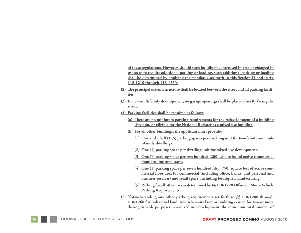**of these regulations. However, should such building be increased in area or changed in use so as to require additional parking or loading, such additional parking or loading shall be determined by applying the standards set forth in this Section D and in §§ 118-1210 through 118-1260.**

- **(2) The principal use and structure shall be located between the street and all parking facili ties.**
- **(3) In new multifamily development, no garage openings shall be placed directly facing the street.**
- **(4) Parking facilities shall be required as follows:**
	- **(a) There are no minimum parking requirements for the redevelopment of a building listed on, or eligible for the National Register as a mixed use building.**
	- **(b) For all other buildings, the applicant must provide:**
		- **[1] One and a half (1 ½) parking spaces per dwelling unit for two-family and mul tifamily dwellings.**
		- **[2] One (1) parking space per dwelling unit for mixed-use development.**
		- **[3] One (1) parking space per two hundred (200) square feet of active commercial floor area for restaurant.**
		- **[4] One (1) parking space per seven hundred fifty (750) square feet of active com mercial floor area for commercial (including office, banks, and personal and business services) and retail space, including boutique manufacturing.**
		- **[5] Parking for all other uses as determined by §§ 118-1220 Off-street Motor Vehicle Parking Requirements.**
- **(5) Notwithstanding any other parking requirements set forth in §§ 118-1200 through 118-1260 for individual land uses, when any land or building is used for two or more distinguishable purposes in a mixed use development, the minimum total number of**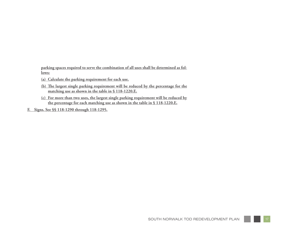**parking spaces required to serve the combination of all uses shall be determined as follows:**

- **(a) Calculate the parking requirement for each use.**
- **(b) The largest single parking requirement will be reduced by the percentage for the matching use as shown in the table in § 118-1220.E.**
- **(c) For more than two uses, the largest single parking requirement will be reduced by the percentage for each matching use as shown in the table in § 118-1220.E.**
- **F. Signs. See §§ 118-1290 through 118-1295.**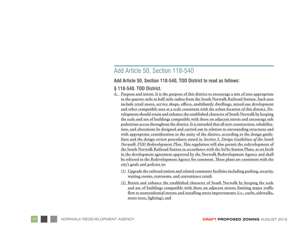#### Add Article 50, Section 118-540

**Add Article 50, Section 118-540, TOD District to read as follows:**

#### **§ 118-540. TOD District.**

- **A. Purpose and intent. It is the purpose of this district to encourage a mix of uses appropriate to the quarter-mile to half-mile radius from the South Norwalk Railroad Station. Such uses include retail stores, service shops, offices, multifamily dwellings, mixed-use development and other compatible uses at a scale consistent with the urban location of this district. De velopment should retain and enhance the established character of South Norwalk by keeping the scale and use of buildings compatible with those on adjacent streets and encourage safe pedestrian access throughout the district. It is intended that all new construction, rehabilita tion, and alterations be designed and carried out in relation to surrounding structures and with appropriate consideration to the unity of the district, according to the design guide lines and the design review procedures stated in** *Section 5. Design Guidelines of the South Norwalk TOD Redevelopment Plan***. This regulation will also permit the redevelopment of the South Norwalk Railroad Station in accordance with the SoNo Station Plans, as set forth in the development agreement approved by the Norwalk Redevelopment Agency and shall be referred to the Redevelopment Agency for comment. These plans are consistent with the city's goals and policies to:**
	- **(1) Upgrade the railroad station and related commuter facilities including parking, security, waiting rooms, restrooms, and convenience retail;**
	- **(2) Retain and enhance the established character of South Norwalk by keeping the scale and use of buildings compatible with those on adjacent streets; limiting major traffic flow to nonresidential streets; and installing street improvements (i.e., curbs, sidewalks, street trees, lighting); and**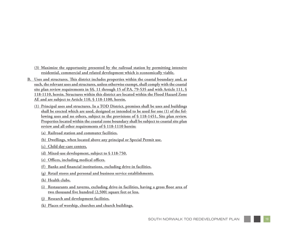- **(3) Maximize the opportunity presented by the railroad station by permitting intensive residential, commercial and related development which is economically viable.**
- **B. Uses and structures. This district includes properties within the coastal boundary and, as such, the relevant uses and structures, unless otherwise exempt, shall comply with the coastal site plan review requirements in §§. 11 through 15 of P.A. 79-535 and with Article 111, § 118-1110, herein. Structures within this district are located within the Flood Hazard Zone AE and are subject to Article 110, § 118-1100, herein.**
	- **(1) Principal uses and structures. In a TOD District, premises shall be uses and buildings shall be erected which are used, designed or intended to be used for one (1) of the following uses and no others, subject to the provisions of § 118-1451, Site plan review. Properties located within the coastal zone boundary shall be subject to coastal site plan review and all other requirements of § 118-1110 herein:**
		- **(a) Railroad station and commuter facilities.**
		- **(b) Dwellings, when located above any principal or Special Permit use.**
		- **(c) Child day-care centers.**
		- **(d) Mixed-use development, subject to § 118-750.**
		- **(e) Offices, including medical offices.**
		- **(f) Banks and financial institutions, excluding drive-in facilities.**
		- **(g) Retail stores and personal and business service establishments.**
		- **(h) Health clubs.**
		- **(i) Restaurants and taverns, excluding drive-in facilities, having a gross floor area of two thousand five hundred (2,500) square feet or less.**
		- **(j) Research and development facilities.**
		- **(k) Places of worship, churches and church buildings.**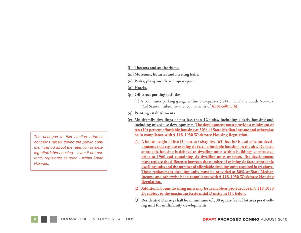**(l) Theaters and auditoriums.**

**(m)Museums, libraries and meeting halls.**

**(n) Parks, playgrounds and open space.**

**(o) Hotels.**

**(p) Off-street parking facilities.**

[1] A commuter parking garage within one-quarter (1/4) mile of the South Norwalk Rail Station, subject to the requirements of **§118-540.C(4).**

#### **(q) Printing establishments**

- **(r) Multifamily dwellings of not less than 12 units, including elderly housing and including mixed use developments. The development must provide a minimum of ten (10) percent affordable housing at 50% of State Median Income and otherwise be in compliance with § 118-1050 Workforce Housing Regulation.** 
	- **[1] A bonus height of five (5) stories / sixty-five (65) feet for is available for developments that replace existing de facto affordable housing on the site. De facto affordable housing is defined as dwelling units within buildings constructed prior to 1960 and containing six dwelling units or fewer. The development must replace the difference between the number of existing de facto affordable dwelling units and the number of affordable dwelling units required in (r) above. These replacement dwelling units must be provided at 80% of State Median Income and otherwise be in compliance with § 118-1050 Workforce Housing Regulation.**
	- **[2] Additional bonus dwelling units may be available as provided for in § 118-1050 D, subject to the maximum Residential Density in [4], below.**
	- **[3] Residential Density shall be a minimum of 500 square feet of lot area per dwelling unit for multifamily developments.**

*The changes in this section address concerns raised during the public comment period about the retention of existing affordable housing – even if not currently registered as such – within South Norwalk.*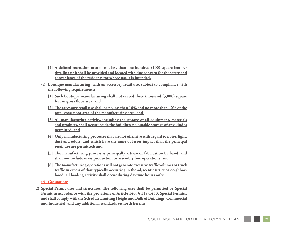- **[4] A defined recreation area of not less than one hundred (100) square feet per dwelling unit shall be provided and located with due concern for the safety and convenience of the residents for whose use it is intended.**
- **(s) Boutique manufacturing, with an accessory retail use, subject to compliance with the following requirements:**
	- **[1] Such boutique manufacturing shall not exceed three thousand (3,000) square feet in gross floor area; and**
	- **[2] The accessory retail use shall be no less than 10% and no more than 40% of the total gross floor area of the manufacturing area; and**
	- **[3] All manufacturing activity, including the storage of all equipment, materials and products, shall occur inside the building; no outside storage of any kind is permitted; and**
	- **[4] Only manufacturing processes that are not offensive with regard to noise, light, dust and odors, and which have the same or lesser impact than the principal retail use are permitted; and**
	- **[5] The manufacturing process is principally artisan or fabrication by hand, and shall not include mass production or assembly line operations; and**
	- **[6] The manufacturing operations will not generate excessive traffic volumes or truck traffic in excess of that typically occurring in the adjacent district or neighbor hood; all loading activity shall occur during daytime hours only.**

**(t) Gas stations**

**(2) Special Permit uses and structures. The following uses shall be permitted by Special Permit in accordance with the provisions of Article 140, § 118-1450, Special Permits, and shall comply with the Schedule Limiting Height and Bulk of Buildings, Commercial and Industrial, and any additional standards set forth herein:**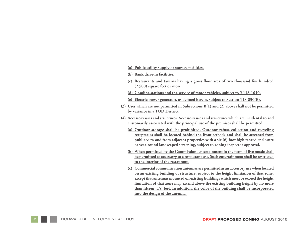- **(a) Public utility supply or storage facilities.**
- **(b) Bank drive-in facilities.**
- **(c) Restaurants and taverns having a gross floor area of two thousand five hundred (2,500) square feet or more.**
- **(d) Gasoline stations and the service of motor vehicles, subject to § 118-1010.**
- **(e) Electric power generator, as defined herein, subject to Section 118-830(B).**
- **(3) Uses which are not permitted in Subsections B(1) and (2) above shall not be permitted by variance in a TOD District.**
- **(4) Accessory uses and structures. Accessory uses and structures which are incidental to and customarily associated with the principal use of the premises shall be permitted.**
	- **(a) Outdoor storage shall be prohibited. Outdoor refuse collection and recycling receptacles shall be located behind the front setback and shall be screened from public view and from adjacent properties with a six (6) foot high fenced enclosure or year-round landscaped screening, subject to zoning inspector approval.**
	- **(b) When permitted by the Commission, entertainment in the form of live music shall be permitted as accessory to a restaurant use. Such entertainment shall be restricted to the interior of the restaurant.**
	- **(c) Commercial communication antennas are permitted as an accessory use when located on an existing building or structure, subject to the height limitation of that zone, except that antennas mounted on existing buildings which meet or exceed the height limitation of that zone may extend above the existing building height by no more than fifteen (15) feet. In addition, the color of the building shall be incorporated into the design of the antenna.**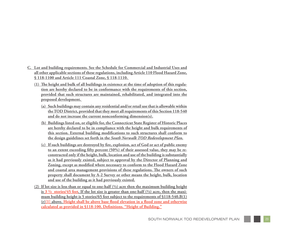- **C. Lot and building requirements. See the Schedule for Commercial and Industrial Uses and all other applicable sections of these regulations, including Article 110 Flood Hazard Zone, § 118-1100 and Article 111 Coastal Zone, § 118-1110.** 
	- **(1) The height and bulk of all buildings in existence at the time of adoption of this regula tion are hereby declared to be in conformance with the requirements of this section, provided that such structures are maintained, rehabilitated, and integrated into the proposed development.** 
		- **(a) Such buildings may contain any residential and/or retail use that is allowable within the TOD District, provided that they meet all requirements of this Section 118-540 and do not increase the current nonconforming dimension(s).**
		- **(b) Buildings listed on, or eligible for, the Connecticut State Register of Historic Places are hereby declared to be in compliance with the height and bulk requirements of this section. External building modifications to such structures shall conform to the design guidelines set forth in the** *South Norwalk TOD Redevelopment Plan* **.**
		- **(c) If such buildings are destroyed by fire, explosion, act of God or act of public enemy to an extent exceeding fifty percent (50%) of their assessed value, they may be re constructed only if the height, bulk, location and use of the building is substantially as it had previously existed, subject to approval by the Director of Planning and Zoning, except as modified where necessary to conform to the Flood Hazard Zone and coastal area management provisions of these regulations. The owners of such property shall document by A-2 Survey or other means the height, bulk, location and use of the building as it had previously existed.**
	- **(2) If lot size is less than or equal to one-half (½) acre then the maximum building height is 3 1/2 stories/45 feet. If the lot size is greater than one-half (½) acre, then the maxi mum building height is 5 stories/65 feet subject to the requirements of §118-540.B(1) (r)[1] above. Height shall be above base flood elevation in a flood zone and otherwise calculated as provided in §118-100. Definitions. "Height of Building."**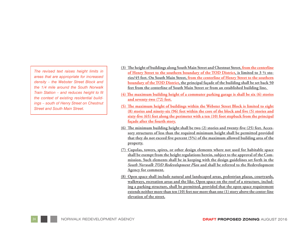*The revised text raises height limits in areas that are appropriate for increased density – the Webster Street Block and the 1/4 mile around the South Norwalk Train Station – and reduces height to fit the context of existing residential buildings – south of Henry Street on Chestnut Street and South Main Street.*

- **(3) The height of buildings along South Main Street and Chestnut Street, from the centerline of Henry Street to the southern boundary of the TOD District, is limited to 3 ½ stories/45 feet. On South Main Street, from the centerline of Henry Street to the southern boundary of the TOD District, the principal façade of the building shall be set back 50 feet from the centerline of South Main Street or from an established building line.**
- **(4) The maximum building height of a commuter parking garage is shall be six (6) stories and seventy-two (72) feet.**
- **(5) The maximum height of buildings within the Webster Street Block is limited to eight (8) stories and ninety-six (96) feet within the core of the block and five (5) stories and sixty-five (65) feet along the perimeter with a ten (10) foot stepback from the principal façade after the fourth story.**
- **(6) The minimum building height shall be two (2) stories and twenty-five (25) feet. Accessory structures of less than the required minimum height shall be permitted provided that they do not exceed five percent (5%) of the maximum allowed building area of the property.**
- **(7) Cupolas, towers, spires, or other design elements where not used for habitable space shall be exempt from the height regulations herein, subject to the approval of the Commission. Such elements shall be in keeping with the design guidelines set forth in the**  *South Norwalk TOD Redevelopment Plan* **and shall be referred to the Redevelopment Agency for comment.**
- **(8) Open space shall include natural and landscaped areas, pedestrian plazas, courtyards, walkways, recreation areas and the like. Open space on the roof of a structure, including a parking structure, shall be permitted, provided that the open space requirement extends neither more than ten (10) feet nor more than one (1) story above the center-line elevation of the street.**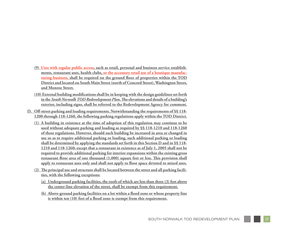- **(9) Uses with regular public access, such as retail, personal and business service establish ments, restaurant uses, health clubs, or the accessory retail use of a boutique manufac turing business, shall be required on the ground floor of properties within the TOD District and located on South Main Street (north of Concord Street), Washington Street, and Monroe Street.**
- **(10) External building modifications shall be in keeping with the design guidelines set forth in the** *South Norwalk TOD Redevelopment Plan***. The elevations and details of a building's exterior, including signs, shall be referred to the Redevelopment Agency for comment.**
- **D. Off-street parking and loading requirements. Notwithstanding the requirements of §§ 118- 1200 through 118-1260, the following parking regulations apply within the TOD District.**
	- **(1) A building in existence at the time of adoption of this regulation may continue to be used without adequate parking and loading as required by §§ 118-1210 and 118-1260 of these regulations. However, should such building be increased in area or changed in use so as to require additional parking or loading, such additional parking or loading shall be determined by applying the standards set forth in this Section D and in §§ 118- 1210 and 118-1260; except that a restaurant in existence as of July 1, 2005 shall not be required to provide additional parking for interior expansions within the existing gross restaurant floor area of one thousand (1,000) square feet or less. This provision shall apply to restaurant uses only and shall not apply to floor space devoted to mixed uses.**
	- **(2) The principal use and structure shall be located between the street and all parking facili ties, with the following exceptions:**
		- **(a) Underground parking facilities, the roofs of which are less than three (3) feet above the center-line elevation of the street, shall be exempt from this requirement.**
		- **(b) Above-ground parking facilities on a lot within a flood zone or whose property line is within ten (10) feet of a flood zone is exempt from this requirement.**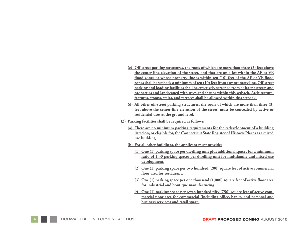- **(c) Off-street parking structures, the roofs of which are more than three (3) feet above the center-line elevation of the street, and that are on a lot within the AE or VE flood zones or whose property line is within ten (10) feet of the AE or VE flood zones shall be set back a minimum of ten (10) feet from any property line. Off-street parking and loading facilities shall be effectively screened from adjacent streets and properties and landscaped with trees and shrubs within this setback. Architectural features, stoops, stairs, and terraces shall be allowed within this setback.**
- **(d) All other off-street parking structures, the roofs of which are more than three (3) feet above the center-line elevation of the street, must be concealed by active or residential uses at the ground level.**
- **(3) Parking facilities shall be required as follows:**
	- **(a) There are no minimum parking requirements for the redevelopment of a building listed on, or eligible for, the Connecticut State Register of Historic Places as a mixed use building.**
	- **(b) For all other buildings, the applicant must provide:**
		- **[1] One (1) parking space per dwelling unit plus additional spaces for a minimum ratio of 1.30 parking spaces per dwelling unit for multifamily and mixed-use development.**
		- **[2] One (1) parking space per two hundred (200) square feet of active commercial floor area for restaurant.**
		- **[3] One (1) parking space per one thousand (1,000) square feet of active floor area for industrial and boutique manufacturing.**
		- **[4] One (1) parking space per seven hundred fifty (750) square feet of active com mercial floor area for commercial (including office, banks, and personal and business services) and retail space.**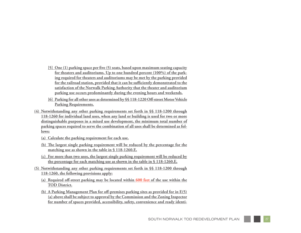- **[5] One (1) parking space per five (5) seats, based upon maximum seating capacity for theaters and auditoriums. Up to one hundred percent (100%) of the parking required for theaters and auditoriums may be met by the parking provided for the railroad station, provided that it can be sufficiently demonstrated to the satisfaction of the Norwalk Parking Authority that the theater and auditorium parking use occurs predominantly during the evening hours and weekends.**
- **[6] Parking for all other uses as determined by §§ 118-1220 Off-street Motor Vehicle Parking Requirements.**
- **(4) Notwithstanding any other parking requirements set forth in §§ 118-1200 through 118-1260 for individual land uses, when any land or building is used for two or more distinguishable purposes in a mixed use development, the minimum total number of parking spaces required to serve the combination of all uses shall be determined as fol lows:**
	- **(a) Calculate the parking requirement for each use.**
	- **(b) The largest single parking requirement will be reduced by the percentage for the matching use as shown in the table in § 118-1260.E.**
	- **(c) For more than two uses, the largest single parking requirement will be reduced by the percentage for each matching use as shown in the table in § 118-1260.E.**
- **(5) Notwithstanding any other parking requirements set forth in §§ 118-1200 through 118-1260, the following provisions apply:**
	- **(a) Required off-street parking may be located within 600 feet of the use within the TOD District.**
	- **(b) A Parking Management Plan for off-premises parking sites as provided for in E(5) (a) above shall be subject to approval by the Commission and the Zoning Inspector for number of spaces provided, accessibility, safety, convenience and ready identi -**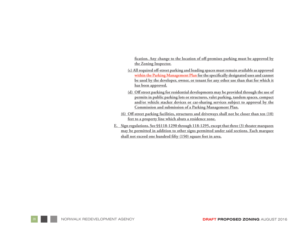**fication. Any change to the location of off-premises parking must be approved by the Zoning Inspector.**

- **(c) All required off-street parking and loading spaces must remain available as approved within the Parking Management Plan for the specifically designated uses and cannot be used by the developer, owner, or tenant for any other use than that for which it has been approved.**
- **(d) Off street parking for residential developments may be provided through the use of permits in public parking lots or structures, valet parking, tandem spaces, compact and/or vehicle stacker devices or car-sharing services subject to approval by the Commission and submission of a Parking Management Plan.**
- **(6) Off-street parking facilities, structures and driveways shall not be closer than ten (10) feet to a property line which abuts a residence zone.**
- **E. Sign regulations. See §§118-1290 through 118-1295, except that three (3) theater marquees may be permitted in addition to other signs permitted under said sections. Each marquee shall not exceed one hundred fifty (150) square feet in area.**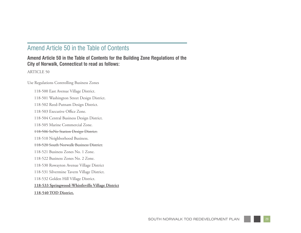#### Amend Article 50 in the Table of Contents

#### **Amend Article 50 in the Table of Contents for the Building Zone Regulations of the City of Norwalk, Connecticut to read as follows:**

ARTICLE 50

#### Use Regulations Controlling Business Zones

118-500 East Avenue Village District. 118-501 Washington Street Design District. 118-502 Reed-Putnam Design District. 118-503 Executive Office Zone. 118-504 Central Business Design District. 118-505 Marine Commercial Zone. 118-506 SoNo Station Design District. 118-510 Neighborhood Business. 118-520 South Norwalk Business District. 118-521 Business Zones No. 1 Zone. 118-522 Business Zones No. 2 Zone. 118-530 Rowayton Avenue Village District 118-531 Silvermine Tavern Village District. 118-532 Golden Hill Village District. **118-533 Springwood-Whistleville Village District 118-540 TOD District.**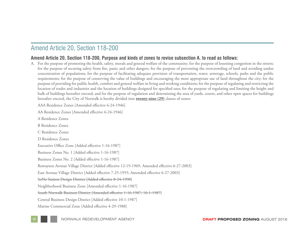### Amend Article 20, Section 118-200

#### **Amend Article 20, Section 118-200, Purpose and kinds of zones to revise subsection A. to read as follows:**

A. For the purpose of promoting the health, safety, morals and general welfare of the community; for the purpose of lessening congestion in the streets; for the purpose of securing safety from fire, panic and other dangers; for the purpose of preventing the overcrowding of land and avoiding undue concentration of populations; for the purpose of facilitating adequate provision of transportation, water, sewerage, schools, parks and the public requirements; for the purpose of conserving the value of buildings and encouraging the most appropriate use of land throughout the city; for the purpose of providing for public health, comfort and general welfare in living and working conditions; for the purpose of regulating and restricting the location of trades and industries and the location of buildings designed for specified uses; for the purpose of regulating and limiting the height and bulk of buildings hereafter erected; and for the purpose of regulation and determining the area of yards, courts, and other open spaces for buildings hereafter erected, the City of Norwalk is hereby divided into **twenty-nine (29)** classes of zones:

AAA Residence Zones [Amended effective 6-24-1946]

AA Residence Zones [Amended effective 6-24-1946]

A Residence Zones B Residence Zones C Residence Zones D Residence Zones Executive Office Zone [Added effective 1-16-1987] Business Zones No. 1 [Added effective 1-16-1987] Business Zones No. 2 [Added effective 1-16-1987] Rowayton Avenue Village District [Added effective 12-19-1969, Amended effective 6-27-2003] East Avenue Village District [Added effective 7-25-1955; Amended effective 6-27-2003] SoNo Station Design District [Added effective 8-24-1990] Neighborhood Business Zone [Amended effective 1-16-1987] South Norwalk Business District [Amended effective 1-16-1987; 10-1-1987] Central Business Design District [Added effective 10-1-1987] Marine Commercial Zone [Added effective 4-29-1988]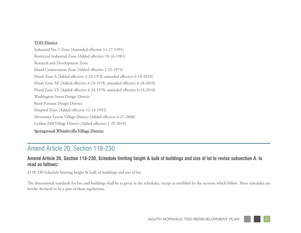#### **TOD District**

Industrial No. 1 Zone [Amended effective 11-27-1991] Restricted Industrial Zone [Added effective 10-16-1981] Research and Development Zone Island Conservation Zone [Added effective 1-22-1974] Flood Zone A [Added effective 4-24-1978, amended effective 6-18-2010] Flood Zone AE [Added effective 4-24-1978, amended effective 6-18-2010] Flood Zone VE [Added effective 4-24-1978, amended effective 6-18-2010] Washington Street Design District Reed-Putnam Design District Hospital Zone [Added effective 12-14-1992] Silvermine Tavern Village District [Added effective 6-27-2008] Golden Hill Village District [Added effective 1-29-2010] **Springwood-Whistleville Village District**

#### Amend Article 20, Section 118-230

#### **Amend Article 20, Section 118-230, Schedule limiting height & bulk of buildings and size of lot to revise subsection A. to read as follows:**

§118-230 Schedule limiting height & bulk of buildings and size of lot.

The dimensional standards for lots and buildings shall be as given in the schedules, except as modified by the sections which follow. These schedules are hereby declared to be a part of these regulations.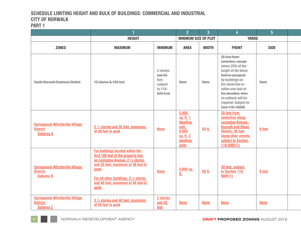## **SCHEDULE LIMITING HEIGHT AND BULK OF BUILDINGS: COMMERCIAL AND INDUSTRIAL CITY OF NORWALK**

| ٠ |  |
|---|--|
|   |  |

|                                                                               |                                                                                                                                                                                                                                                                     |                                                                    | $\overline{2}$                                                                     | $\overline{3}$ |                                                                                                                                                                                                                                                             | $5\overline{5}$ |  |
|-------------------------------------------------------------------------------|---------------------------------------------------------------------------------------------------------------------------------------------------------------------------------------------------------------------------------------------------------------------|--------------------------------------------------------------------|------------------------------------------------------------------------------------|----------------|-------------------------------------------------------------------------------------------------------------------------------------------------------------------------------------------------------------------------------------------------------------|-----------------|--|
|                                                                               | <b>HEIGHT</b>                                                                                                                                                                                                                                                       |                                                                    | <b>MINIMUM SIZE OF PLOT</b>                                                        |                | <b>YARDS</b>                                                                                                                                                                                                                                                |                 |  |
| <b>ZONES</b>                                                                  | <b>MAXIMUM</b>                                                                                                                                                                                                                                                      | <b>MINIMUM</b>                                                     | <b>AREA</b>                                                                        | <b>WIDTH</b>   | <b>FRONT</b>                                                                                                                                                                                                                                                | <b>SIDE</b>     |  |
| South Norwalk Business District                                               | 12 stories & 150 feet                                                                                                                                                                                                                                               | 2 stories<br>and 25<br>feet,<br>subject<br>to 118-<br>$520 - G(4)$ | None                                                                               | <b>None</b>    | 35 feet from<br>centerline, except-<br>where 25% of the<br>length of the block<br>front is occupied<br>by buildings on<br>the street line or<br>within one foot of<br>the streetline, then-<br>no setback will be<br>required. Subject to<br>Sect 118-1000B | <b>None</b>     |  |
| <b>Springwood-Whistleville Village</b><br><b>District</b><br><b>Subarea A</b> | 2 1/2 stories and 35 feet, maximum<br>of 38 feet to peak                                                                                                                                                                                                            | <b>None</b>                                                        | 5,000<br>sq. ft. 1<br>dwelling<br>unit:<br>6,000<br>sq. ft. 2<br>dwelling<br>units | 50 ft.         | 35 feet from<br>centerline along<br><b>Lexington Avenue,</b><br><b>Kossuth and Olean</b><br><b>Streets: 30 feet</b><br>along other streets.<br>subject to Section<br>118-900F(1)                                                                            | 6 feet          |  |
| <b>Springwood-Whistleville Village</b><br><b>District</b><br><b>Subarea B</b> | <b>For buildings located within the</b><br>first 100 feet of the property line<br>on Lexington Avenue, 2 1/2 stories<br>and 35 feet, maximum of 38 feet to<br>peak.<br><b>For all other buildings, 3 1/2 stories</b><br>and 40 feet, maximum of 48 feet to<br>peak. | <b>None</b>                                                        | $5,000$ sq.<br><u>tt.</u>                                                          | 50 ft.         | 30 feet, subject<br>to Section 118-<br>900F(1)                                                                                                                                                                                                              | 6 feet          |  |
| <b>Springwood-Whistleville Village</b><br><b>District</b><br><b>Subarea C</b> | 3 1/2 stories and 40 feet, maximum<br>of 48 feet to peak                                                                                                                                                                                                            | 2 stories<br>and 25<br>feet                                        | <b>None</b>                                                                        | <b>None</b>    | <b>None</b>                                                                                                                                                                                                                                                 | <b>None</b>     |  |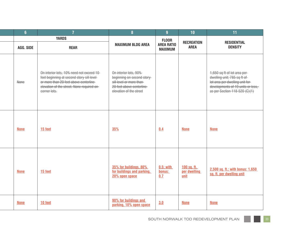| $6\phantom{a}6$ | -7                                                                                                                                                                                            | $\overline{\mathbf{8}}$                                                                                                               | $\overline{9}$                      | 10 <sup>°</sup>                     | 11                                                                                                                                                                  |
|-----------------|-----------------------------------------------------------------------------------------------------------------------------------------------------------------------------------------------|---------------------------------------------------------------------------------------------------------------------------------------|-------------------------------------|-------------------------------------|---------------------------------------------------------------------------------------------------------------------------------------------------------------------|
|                 | <b>YARDS</b>                                                                                                                                                                                  | <b>FLOOR</b>                                                                                                                          |                                     |                                     |                                                                                                                                                                     |
| AGG. SIDE       | <b>REAR</b>                                                                                                                                                                                   | <b>MAXIMUM BLDG AREA</b>                                                                                                              | <b>AREA RATIO</b><br><b>MAXIMUM</b> | <b>RECREATION</b><br><b>AREA</b>    | <b>RESIDENTIAL</b><br><b>DENSITY</b>                                                                                                                                |
| <b>None</b>     | On interior lots, 10% need not exceed 10<br>feet beginning at second story sill level-<br>or more than 20 feet above centerline<br>elevation of the street. None required on-<br>corner lots. | On interior lots, 90%<br>beginning on second story<br>sill level or more than-<br>20 feet above centerline<br>elevation of the street |                                     |                                     | 1,650 sq ft of lot area per-<br>dwelling unit; 785 sq ft of<br>lot area per dwelling unit for<br>developments of 19 units or less,<br>as per Section 118-520 (C)(1) |
| <b>None</b>     | 15 feet                                                                                                                                                                                       | 35%                                                                                                                                   | 0.4                                 | <b>None</b>                         | <b>None</b>                                                                                                                                                         |
| <b>None</b>     | 15 feet                                                                                                                                                                                       | 35% for buildings, 80%<br>for buildings and parking,<br>20% open space                                                                | 0.5; with<br>bonus:<br>0.7          | 100 sq. ft.<br>per dwelling<br>unit | 2,500 sq. ft.; with bonus: 1,650<br>sq. ft. per dwelling unit                                                                                                       |
| <b>None</b>     | 10 feet                                                                                                                                                                                       | 90% for buildings and<br>parking, 10% open space                                                                                      | 3.0                                 | <b>None</b>                         | <b>None</b>                                                                                                                                                         |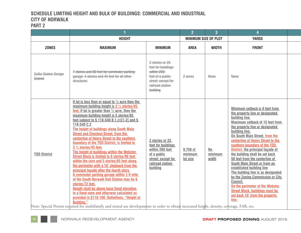#### **SCHEDULE LIMITING HEIGHT AND BULK OF BUILDINGS: COMMERCIAL AND INDUSTRIAL CITY OF NORWALK PART 2**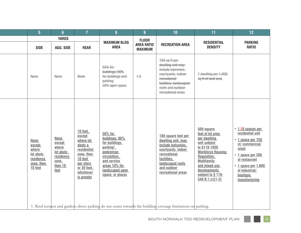|                                                                                   |                                                                                      |                                                                                                                                           |                                                                                                                                                                            | <b>q</b>                            | 10                                                                                                                                                                            | 11                                                                                                                                                                                                                                | 12 <sub>2</sub>                                                                                                                                                                                          |
|-----------------------------------------------------------------------------------|--------------------------------------------------------------------------------------|-------------------------------------------------------------------------------------------------------------------------------------------|----------------------------------------------------------------------------------------------------------------------------------------------------------------------------|-------------------------------------|-------------------------------------------------------------------------------------------------------------------------------------------------------------------------------|-----------------------------------------------------------------------------------------------------------------------------------------------------------------------------------------------------------------------------------|----------------------------------------------------------------------------------------------------------------------------------------------------------------------------------------------------------|
|                                                                                   | <b>YARDS</b>                                                                         |                                                                                                                                           |                                                                                                                                                                            | <b>FLOOR</b>                        |                                                                                                                                                                               |                                                                                                                                                                                                                                   | <b>PARKING</b>                                                                                                                                                                                           |
| <b>SIDE</b>                                                                       | AGG. SIDE                                                                            | <b>REAR</b>                                                                                                                               | <b>AREA</b>                                                                                                                                                                | <b>AREA RATIO</b><br><b>MAXIMUM</b> | <b>RECREATION AREA</b>                                                                                                                                                        | <b>DENSITY</b>                                                                                                                                                                                                                    | <b>RATIO</b>                                                                                                                                                                                             |
| <b>None</b>                                                                       | <b>None</b>                                                                          | <b>None</b>                                                                                                                               | 50% for<br>buildings; 90%<br>for buildings and<br>parking;<br>30% open space                                                                                               | $+5$                                | 150 sq ft per<br>dwelling unit may<br>include balconies,<br>courtyards, indoor<br>recreational-<br>facilities, landscaped-<br>roofs and outdoor<br>recreational areas         | 1 dwelling per 1,000<br>sq ft of land area                                                                                                                                                                                        |                                                                                                                                                                                                          |
| <b>None</b><br>except<br>where<br>lot abuts<br>residence<br>zone, then<br>10 feet | <b>None</b><br>except<br>where<br>lot abuts<br>residence<br>zone,<br>then 10<br>feet | 10 feet.<br>except<br>where lot<br>abuts a<br>residential<br>zone, then<br>10 feet<br>per story<br>or 20 feet,<br>whichever<br>is greater | 50% for<br>buildings; 90%<br>for buildings,<br>parking <sup>1</sup> .<br>pedestrian<br>circulation,<br>and service<br>areas 10% for<br>landscaped open<br>space, or plazas |                                     | 100 square feet per<br>dwelling unit, may<br>include balconies,<br>courtyards, indoor<br>recreational<br>facilities.<br>landscaped roofs<br>and outdoor<br>recreational areas | 500 square<br>feet of lot area<br>per dwelling<br>unit subject<br>to §118-1050<br><b>Workforce Housing</b><br><b>Regulation:</b><br><b>Multifamily</b><br>and mixed use<br>developments<br>subject to § 118-<br>$540 B.1(r)[1-2]$ | $\cdot$ 1.30 spaces per<br>residential unit<br>• 1 space per 750<br>sf/commercial/<br>retail<br>• 1 space per 200<br>sf restaurant<br>• 1 space per 1,000<br>sf industrial/<br>boutique<br>manufacturing |
|                                                                                   |                                                                                      |                                                                                                                                           |                                                                                                                                                                            | <b>MAXIMUM BLDG</b>                 |                                                                                                                                                                               |                                                                                                                                                                                                                                   | <b>RESIDENTIAL</b><br>1. Roof terraces and gardens above parking do not count towards the building coverage limitations on parking.                                                                      |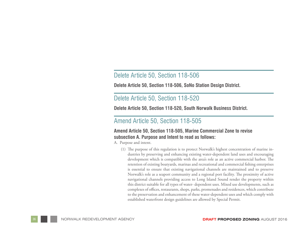#### Delete Article 50, Section 118-506

**Delete Article 50, Section 118-506, SoNo Station Design District.** 

#### Delete Article 50, Section 118-520

**Delete Article 50, Section 118-520, South Norwalk Business District.**

#### Amend Article 50, Section 118-505

#### **Amend Article 50, Section 118-505, Marine Commercial Zone to revise subsection A. Purpose and Intent to read as follows:**

A. Purpose and intent.

(1) The purpose of this regulation is to protect Norwalk's highest concentration of marine industries by preserving and enhancing existing water-dependent land uses and encouraging development which is compatible with the area's role as an active commercial harbor. The retention of existing boatyards, marinas and recreational and commercial fishing enterprises is essential to ensure that existing navigational channels are maintained and to preserve Norwalk's role as a seaport community and a regional port facility. The proximity of active navigational channels providing access to Long Island Sound render the property within this district suitable for all types of water- dependent uses. Mixed use developments, such as complexes of offices, restaurants, shops, parks, promenades and residences, which contribute to the preservation and enhancement of these water-dependent uses and which comply with established waterfront design guidelines are allowed by Special Permit.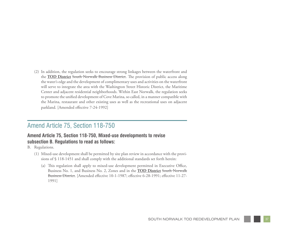(2) In addition, the regulation seeks to encourage strong linkages between the waterfront and the **TOD District** South Norwalk Business District. The provision of public access along the water's edge and the development of complimentary uses and activities on the waterfront will serve to integrate the area with the Washington Street Historic District, the Maritime Center and adjacent residential neighborhoods. Within East Norwalk, the regulation seeks to promote the unified development of Cove Marina, so called, in a manner compatible with the Marina, restaurant and other existing uses as well as the recreational uses on adjacent parkland. [Amended effective 7-24-1992]

#### Amend Article 75, Section 118-750

#### **Amend Article 75, Section 118-750, Mixed-use developments to revise subsection B. Regulations to read as follows:**

B. Regulations.

- (1) Mixed-use development shall be permitted by site plan review in accordance with the provisions of § 118-1451 and shall comply with the additional standards set forth herein:
	- (a) This regulation shall apply to mixed-use development permitted in Executive Office, Business No. 1, and Business No. 2, Zones and in the **TOD District** South Norwalk Business District. [Amended effective 10-1-1987; effective 6-28-1991; effective 11-27- 1991]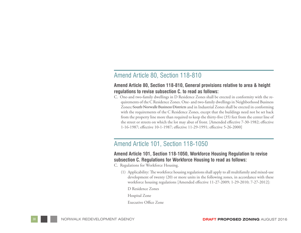#### Amend Article 80, Section 118-810

#### **Amend Article 80, Section 118-810, General provisions relative to area & height regulations to revise subsection C. to read as follows:**

C. One-and two-family dwellings in D Residence Zones shall be erected in conformity with the requirements of the C Residence Zones. One- and two-family dwellings in Neighborhood Business Zones, South Norwalk Business Districts and in Industrial Zones shall be erected in conforming with the requirements of the C Residence Zones, except that the buildings need not be set back from the property line more than required to keep the thirty-five (35) feet from the center line of the street or streets on which the lot may abut of front. [Amended effective 7-30-1982; effective 1-16-1987; effective 10-1-1987; effective 11-29-1991; effective 5-26-2000]

#### Amend Article 101, Section 118-1050

#### **Amend Article 101, Section 118-1050, Workforce Housing Regulation to revise subsection C. Regulations for Workforce Housing to read as follows:**

C. Regulations for Workforce Housing.

(1) Applicability: The workforce housing regulations shall apply to all multifamily and mixed-use development of twenty (20) or more units in the following zones, in accordance with these workforce housing regulations [Amended effective 11-27-2009; 1-29-2010; 7-27-2012]:

D Residence Zones

Hospital Zone

Executive Office Zone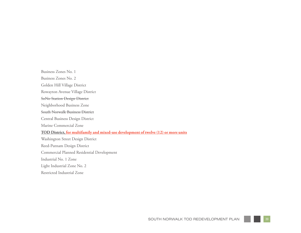Business Zones No. 1 Business Zones No. 2 Golden Hill Village District Rowayton Avenue Village District SoNo Station Design District Neighborhood Business Zone South Norwalk Business District Central Business Design District Marine Commercial Zone **TOD District, for multifamily and mixed-use development of twelve (12) or more units** Washington Street Design District Reed-Putnam Design District Commercial Planned Residential Development Industrial No. 1 Zone Light Industrial Zone No. 2 Restricted Industrial Zone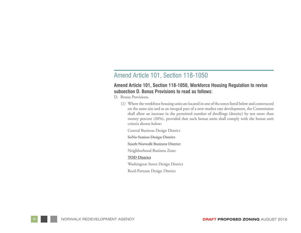#### Amend Article 101, Section 118-1050

#### **Amend Article 101, Section 118-1050, Workforce Housing Regulation to revise subsection D. Bonus Provisions to read as follows:**

D. Bonus Provisions.

(1) Where the workforce housing units are located in one of the zones listed below and constructed on the same site and as an integral part of a new market rate development, the Commission shall allow an increase in the permitted number of dwellings (density) by not more than twenty percent (20%), provided that such bonus units shall comply with the bonus unit criteria shown below:

Central Business Design District

SoNo Station Design District

South Norwalk Business District

Neighborhood Business Zone

#### **TOD District**

Washington Street Design District

Reed-Putnam Design District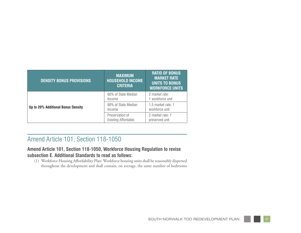| <b>DENSITY BONUS PROVISIONS</b>    | <b>MAXIMUM</b><br><b>HOUSEHOLD INCOME</b><br><b>CRITERIA</b> | <b>RATIO OF BONUS</b><br><b>MARKET RATE</b><br><b>UNITS TO BONUS</b><br><b>WORKFORCE UNITS</b> |
|------------------------------------|--------------------------------------------------------------|------------------------------------------------------------------------------------------------|
|                                    | 60% of State Median<br>Income                                | 2 market rate:<br>1 workforce unit                                                             |
| Up to 20% Additional Bonus Density | 80% of State Median<br>Income                                | 1.5 market rate: 1<br>workforce unit                                                           |
|                                    | Preservation of<br><b>Existing Affordable</b>                | 2 market rate: 1<br>preserved unit                                                             |

## Amend Article 101, Section 118-1050

#### **Amend Article 101, Section 118-1050, Workforce Housing Regulation to revise subsection E. Additional Standards to read as follows:**

(1) Workforce Housing Affordability Plan: Workforce housing units shall be reasonably dispersed throughout the development and shall contain, on average, the same number of bedrooms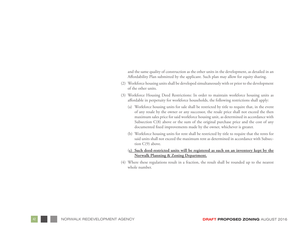and the same quality of construction as the other units in the development, as detailed in an Affordability Plan submitted by the applicant. Such plan may allow for equity sharing.

- (2) Workforce housing units shall be developed simultaneously with or prior to the development of the other units.
- (3) Workforce Housing Deed Restrictions: In order to maintain workforce housing units as affordable in perpetuity for workforce households, the following restrictions shall apply:
	- (a) Workforce housing units for sale shall be restricted by title to require that, in the event of any resale by the owner or any successor, the resale price shall not exceed the then maximum sales price for said workforce housing unit, as determined in accordance with Subsection C(8) above or the sum of the original purchase price and the cost of any documented fixed improvements made by the owner, whichever is greater.
	- (b) Workforce housing units for rent shall be restricted by title to require that the rents for said units shall not exceed the maximum rent as determined in accordance with Subsection C(9) above.
	- (**c) Such deed-restricted units will be registered as such on an inventory kept by the Norwalk Planning & Zoning Department.**
- (4) Where these regulations result in a fraction, the result shall be rounded up to the nearest whole number.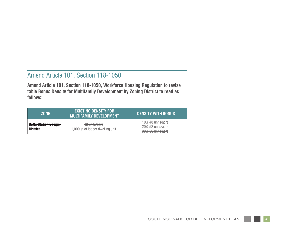## Amend Article 101, Section 118-1050

**Amend Article 101, Section 118-1050, Workforce Housing Regulation to revise table Bonus Density for Multifamily Development by Zoning District to read as follows:**

| ZONE                                           | <b>EXISTING DENSITY FOR</b><br><b>MULTIFAMILY DEVELOPMENT</b> | <b>DENSITY WITH BONUS</b>                                   |
|------------------------------------------------|---------------------------------------------------------------|-------------------------------------------------------------|
| <b>SoNo Station Design-</b><br><b>District</b> | 43 units/acre<br>1,000 sf of lot per dwelling unit            | 10% 48 units/acre<br>20% 52 units/acre<br>30% 56 units/acre |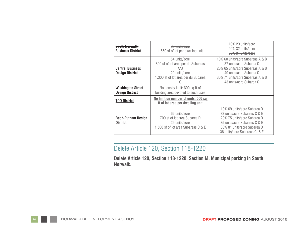| South Norwalk<br><b>Business District</b>          | <del>26 units/acre</del><br>1,650 sf of lot per dwelling unit                                                      | 10% 29 units/acre<br>20% 32 units/acre<br>30% 34 units/acre                                                                                                                                |
|----------------------------------------------------|--------------------------------------------------------------------------------------------------------------------|--------------------------------------------------------------------------------------------------------------------------------------------------------------------------------------------|
| <b>Central Business</b><br><b>Design District</b>  | 54 units/acre<br>800 sf of lot area per du Subareas<br>A/B<br>29 units/acre<br>1,300 sf of lot area per du Subarea | 10% 60 units/acre Subareas A & B<br>37 units/acre Subarea C<br>20% 65 units/acre Subareas A & B<br>40 units/acre Subarea C<br>30% 71 units/acre Subareas A & B<br>43 units/acre Subarea C  |
| <b>Washington Street</b><br><b>Design District</b> | No density limit: 600 sq ft of<br>building area devoted to such uses                                               |                                                                                                                                                                                            |
| <b>TOD District</b>                                | No limit on number of units; 500 sq<br>ft of lot area per dwelling unit                                            |                                                                                                                                                                                            |
| <b>Reed-Putnam Design</b><br><b>District</b>       | 62 units/acre<br>700 sf of lot area Subarea D<br>29 units/acre<br>1,500 sf of lot area Subareas C & E              | 10% 69 units/acre Subarea D<br>32 units/acre Subareas C & E<br>20% 75 units/acre Subarea D<br>35 units/acre Subareas C & E<br>30% 81 units/acre Subarea D<br>38 units/acre Subareas C. & E |

## Delete Article 120, Section 118-1220

**Delete Article 120, Section 118-1220, Section M. Municipal parking in South Norwalk.**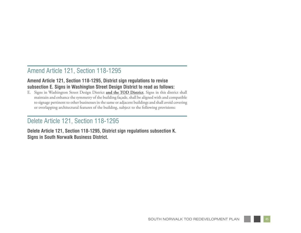#### Amend Article 121, Section 118-1295

#### **Amend Article 121, Section 118-1295, District sign regulations to revise subsection E. Signs in Washington Street Design District to read as follows:**

E. Signs in Washington Street Design District **and the TOD District**. Signs in this district shall maintain and enhance the symmetry of the building façade, shall be aligned with and compatible to signage pertinent to other businesses in the same or adjacent buildings and shall avoid covering or overlapping architectural features of the building, subject to the following provisions:

### Delete Article 121, Section 118-1295

**Delete Article 121, Section 118-1295, District sign regulations subsection K. Signs in South Norwalk Business District.**